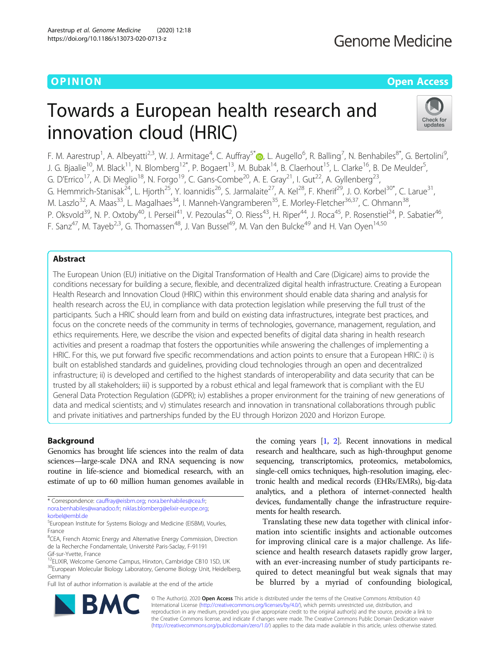## O PINION Open Access

# Towards a European health research and innovation cloud (HRIC)



F. M. Aarestrup<sup>1</sup>[,](http://orcid.org/0000-0003-2226-7411) A. Albeyatti<sup>2,3</sup>, W. J. Armitage<sup>4</sup>, C. Auffray<sup>5\*</sup>. L. Augello<sup>6</sup>, R. Balling<sup>7</sup>, N. Benhabiles<sup>8\*</sup>, G. Bertolini<sup>s</sup> , J. G. Bjaalie<sup>10</sup>, M. Black<sup>11</sup>, N. Blomberg<sup>12\*</sup>, P. Bogaert<sup>13</sup>, M. Bubak<sup>14</sup>, B. Claerhout<sup>15</sup>, L. Clarke<sup>16</sup>, B. De Meulder<sup>5</sup>, , G. D'Errico<sup>17</sup>, A. Di Meglio<sup>18</sup>, N. Forgo<sup>19</sup>, C. Gans-Combe<sup>20</sup>, A. E. Gray<sup>21</sup>, I. Gut<sup>22</sup>, A. Gyllenberg<sup>23</sup>, G. Hemmrich-Stanisak<sup>24</sup>, L. Hjorth<sup>25</sup>, Y. Ioannidis<sup>26</sup>, S. Jarmalaite<sup>27</sup>, A. Kel<sup>28</sup>, F. Kherif<sup>29</sup>, J. O. Korbel<sup>30\*</sup>, C. Larue<sup>31</sup>, M. Laszlo<sup>32</sup>, A. Maas<sup>33</sup>, L. Magalhaes<sup>34</sup>, I. Manneh-Vangramberen<sup>35</sup>, E. Morley-Fletcher<sup>36,37</sup>, C. Ohmann<sup>38</sup>, P. Oksvold<sup>39</sup>, N. P. Oxtoby<sup>40</sup>, I. Perseil<sup>41</sup>, V. Pezoulas<sup>42</sup>, O. Riess<sup>43</sup>, H. Riper<sup>44</sup>, J. Roca<sup>45</sup>, P. Rosenstiel<sup>24</sup>, P. Sabatier<sup>46</sup>, F. Sanz<sup>47</sup>, M. Tayeb<sup>2,3</sup>, G. Thomassen<sup>48</sup>, J. Van Bussel<sup>49</sup>, M. Van den Bulcke<sup>49</sup> and H. Van Oyen<sup>14,50</sup>

## Abstract

The European Union (EU) initiative on the Digital Transformation of Health and Care (Digicare) aims to provide the conditions necessary for building a secure, flexible, and decentralized digital health infrastructure. Creating a European Health Research and Innovation Cloud (HRIC) within this environment should enable data sharing and analysis for health research across the EU, in compliance with data protection legislation while preserving the full trust of the participants. Such a HRIC should learn from and build on existing data infrastructures, integrate best practices, and focus on the concrete needs of the community in terms of technologies, governance, management, regulation, and ethics requirements. Here, we describe the vision and expected benefits of digital data sharing in health research activities and present a roadmap that fosters the opportunities while answering the challenges of implementing a HRIC. For this, we put forward five specific recommendations and action points to ensure that a European HRIC: i) is built on established standards and guidelines, providing cloud technologies through an open and decentralized infrastructure; ii) is developed and certified to the highest standards of interoperability and data security that can be trusted by all stakeholders; iii) is supported by a robust ethical and legal framework that is compliant with the EU General Data Protection Regulation (GDPR); iv) establishes a proper environment for the training of new generations of data and medical scientists; and v) stimulates research and innovation in transnational collaborations through public and private initiatives and partnerships funded by the EU through Horizon 2020 and Horizon Europe.

## Background

Genomics has brought life sciences into the realm of data sciences—large-scale DNA and RNA sequencing is now routine in life-science and biomedical research, with an estimate of up to 60 million human genomes available in

\* Correspondence: [cauffray@eisbm.org;](mailto:cauffray@eisbm.org) [nora.benhabiles@cea.fr;](mailto:nora.benhabiles@cea.fr) [nora.benhabiles@wanadoo.fr;](mailto:nora.benhabiles@wanadoo.fr) [niklas.blomberg@elixir-europe.org;](mailto:niklas.blomberg@elixir-europe.org) [korbel@embl.de](mailto:korbel@embl.de)

<sup>8</sup>CEA, French Atomic Energy and Alternative Energy Commission, Direction de la Recherche Fondamentale, Université Paris-Saclay, F-91191

Gif-sur-Yvette, France

<sup>12</sup>ELIXIR, Welcome Genome Campus, Hinxton, Cambridge CB10 1SD, UK <sup>30</sup>European Molecular Biology Laboratory, Genome Biology Unit, Heidelberg, Germany

Full list of author information is available at the end of the article

the coming years [\[1,](#page-12-0) [2\]](#page-12-0). Recent innovations in medical research and healthcare, such as high-throughput genome sequencing, transcriptomics, proteomics, metabolomics, single-cell omics techniques, high-resolution imaging, electronic health and medical records (EHRs/EMRs), big-data analytics, and a plethora of internet-connected health devices, fundamentally change the infrastructure requirements for health research.

Translating these new data together with clinical information into scientific insights and actionable outcomes for improving clinical care is a major challenge. As lifescience and health research datasets rapidly grow larger, with an ever-increasing number of study participants required to detect meaningful but weak signals that may be blurred by a myriad of confounding biological,



© The Author(s). 2020 Open Access This article is distributed under the terms of the Creative Commons Attribution 4.0 International License [\(http://creativecommons.org/licenses/by/4.0/](http://creativecommons.org/licenses/by/4.0/)), which permits unrestricted use, distribution, and reproduction in any medium, provided you give appropriate credit to the original author(s) and the source, provide a link to the Creative Commons license, and indicate if changes were made. The Creative Commons Public Domain Dedication waiver [\(http://creativecommons.org/publicdomain/zero/1.0/](http://creativecommons.org/publicdomain/zero/1.0/)) applies to the data made available in this article, unless otherwise stated.

<sup>&</sup>lt;sup>5</sup>European Institute for Systems Biology and Medicine (EISBM), Vourles, France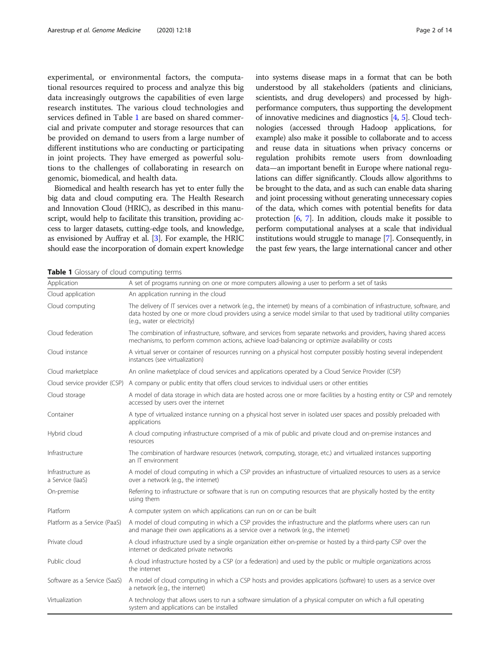experimental, or environmental factors, the computational resources required to process and analyze this big data increasingly outgrows the capabilities of even large research institutes. The various cloud technologies and services defined in Table 1 are based on shared commercial and private computer and storage resources that can be provided on demand to users from a large number of different institutions who are conducting or participating in joint projects. They have emerged as powerful solutions to the challenges of collaborating in research on genomic, biomedical, and health data.

Biomedical and health research has yet to enter fully the big data and cloud computing era. The Health Research and Innovation Cloud (HRIC), as described in this manuscript, would help to facilitate this transition, providing access to larger datasets, cutting-edge tools, and knowledge, as envisioned by Auffray et al. [[3\]](#page-12-0). For example, the HRIC should ease the incorporation of domain expert knowledge into systems disease maps in a format that can be both understood by all stakeholders (patients and clinicians, scientists, and drug developers) and processed by highperformance computers, thus supporting the development of innovative medicines and diagnostics [[4](#page-12-0), [5](#page-12-0)]. Cloud technologies (accessed through Hadoop applications, for example) also make it possible to collaborate and to access and reuse data in situations when privacy concerns or regulation prohibits remote users from downloading data—an important benefit in Europe where national regulations can differ significantly. Clouds allow algorithms to be brought to the data, and as such can enable data sharing and joint processing without generating unnecessary copies of the data, which comes with potential benefits for data protection [[6,](#page-12-0) [7\]](#page-12-0). In addition, clouds make it possible to perform computational analyses at a scale that individual institutions would struggle to manage [[7](#page-12-0)]. Consequently, in the past few years, the large international cancer and other

Table 1 Glossary of cloud computing terms

| Cloud application                     | An application running in the cloud                                                                                                                                                                                                                                                  |
|---------------------------------------|--------------------------------------------------------------------------------------------------------------------------------------------------------------------------------------------------------------------------------------------------------------------------------------|
| Cloud computing                       | The delivery of IT services over a network (e.g., the internet) by means of a combination of infrastructure, software, and<br>data hosted by one or more cloud providers using a service model similar to that used by traditional utility companies<br>(e.g., water or electricity) |
| Cloud federation                      | The combination of infrastructure, software, and services from separate networks and providers, having shared access<br>mechanisms, to perform common actions, achieve load-balancing or optimize availability or costs                                                              |
| Cloud instance                        | A virtual server or container of resources running on a physical host computer possibly hosting several independent<br>instances (see virtualization)                                                                                                                                |
| Cloud marketplace                     | An online marketplace of cloud services and applications operated by a Cloud Service Provider (CSP)                                                                                                                                                                                  |
|                                       | Cloud service provider (CSP) A company or public entity that offers cloud services to individual users or other entities                                                                                                                                                             |
| Cloud storage                         | A model of data storage in which data are hosted across one or more facilities by a hosting entity or CSP and remotely<br>accessed by users over the internet                                                                                                                        |
| Container                             | A type of virtualized instance running on a physical host server in isolated user spaces and possibly preloaded with<br>applications                                                                                                                                                 |
| Hybrid cloud                          | A cloud computing infrastructure comprised of a mix of public and private cloud and on-premise instances and<br>resources                                                                                                                                                            |
| Infrastructure                        | The combination of hardware resources (network, computing, storage, etc.) and virtualized instances supporting<br>an IT environment                                                                                                                                                  |
| Infrastructure as<br>a Service (laaS) | A model of cloud computing in which a CSP provides an infrastructure of virtualized resources to users as a service<br>over a network (e.g., the internet)                                                                                                                           |
| On-premise                            | Referring to infrastructure or software that is run on computing resources that are physically hosted by the entity<br>using them                                                                                                                                                    |
| Platform                              | A computer system on which applications can run on or can be built                                                                                                                                                                                                                   |
| Platform as a Service (PaaS)          | A model of cloud computing in which a CSP provides the infrastructure and the platforms where users can run<br>and manage their own applications as a service over a network (e.g., the internet)                                                                                    |
| Private cloud                         | A cloud infrastructure used by a single organization either on-premise or hosted by a third-party CSP over the<br>internet or dedicated private networks                                                                                                                             |
| Public cloud                          | A cloud infrastructure hosted by a CSP (or a federation) and used by the public or multiple organizations across<br>the internet                                                                                                                                                     |
| Software as a Service (SaaS)          | A model of cloud computing in which a CSP hosts and provides applications (software) to users as a service over<br>a network (e.g., the internet)                                                                                                                                    |
| Virtualization                        | A technology that allows users to run a software simulation of a physical computer on which a full operating<br>system and applications can be installed                                                                                                                             |

Application A set of programs running on one or more computers allowing a user to perform a set of tasks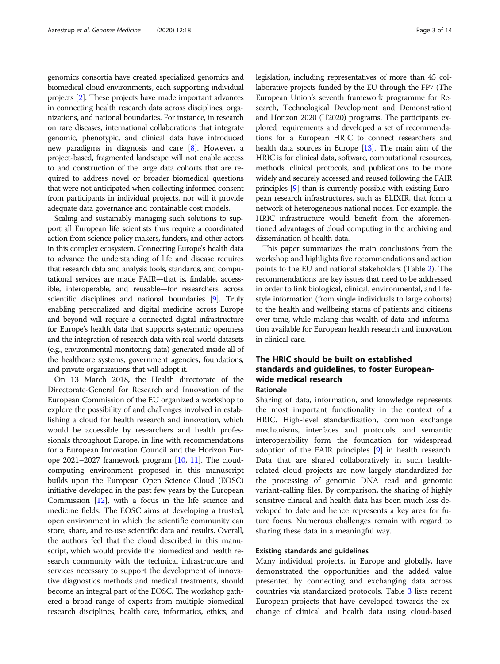genomics consortia have created specialized genomics and biomedical cloud environments, each supporting individual projects [[2](#page-12-0)]. These projects have made important advances in connecting health research data across disciplines, organizations, and national boundaries. For instance, in research on rare diseases, international collaborations that integrate genomic, phenotypic, and clinical data have introduced new paradigms in diagnosis and care [\[8\]](#page-12-0). However, a project-based, fragmented landscape will not enable access to and construction of the large data cohorts that are required to address novel or broader biomedical questions that were not anticipated when collecting informed consent from participants in individual projects, nor will it provide adequate data governance and containable cost models.

Scaling and sustainably managing such solutions to support all European life scientists thus require a coordinated action from science policy makers, funders, and other actors in this complex ecosystem. Connecting Europe's health data to advance the understanding of life and disease requires that research data and analysis tools, standards, and computational services are made FAIR—that is, findable, accessible, interoperable, and reusable—for researchers across scientific disciplines and national boundaries [\[9\]](#page-12-0). Truly enabling personalized and digital medicine across Europe and beyond will require a connected digital infrastructure for Europe's health data that supports systematic openness and the integration of research data with real-world datasets (e.g., environmental monitoring data) generated inside all of the healthcare systems, government agencies, foundations, and private organizations that will adopt it.

On 13 March 2018, the Health directorate of the Directorate-General for Research and Innovation of the European Commission of the EU organized a workshop to explore the possibility of and challenges involved in establishing a cloud for health research and innovation, which would be accessible by researchers and health professionals throughout Europe, in line with recommendations for a European Innovation Council and the Horizon Europe 2021–2027 framework program [\[10,](#page-12-0) [11](#page-12-0)]. The cloudcomputing environment proposed in this manuscript builds upon the European Open Science Cloud (EOSC) initiative developed in the past few years by the European Commission [\[12](#page-12-0)], with a focus in the life science and medicine fields. The EOSC aims at developing a trusted, open environment in which the scientific community can store, share, and re-use scientific data and results. Overall, the authors feel that the cloud described in this manuscript, which would provide the biomedical and health research community with the technical infrastructure and services necessary to support the development of innovative diagnostics methods and medical treatments, should become an integral part of the EOSC. The workshop gathered a broad range of experts from multiple biomedical research disciplines, health care, informatics, ethics, and legislation, including representatives of more than 45 collaborative projects funded by the EU through the FP7 (The European Union's seventh framework programme for Research, Technological Development and Demonstration) and Horizon 2020 (H2020) programs. The participants explored requirements and developed a set of recommendations for a European HRIC to connect researchers and health data sources in Europe [[13\]](#page-12-0). The main aim of the HRIC is for clinical data, software, computational resources, methods, clinical protocols, and publications to be more widely and securely accessed and reused following the FAIR principles [\[9\]](#page-12-0) than is currently possible with existing European research infrastructures, such as ELIXIR, that form a network of heterogeneous national nodes. For example, the HRIC infrastructure would benefit from the aforementioned advantages of cloud computing in the archiving and dissemination of health data.

This paper summarizes the main conclusions from the workshop and highlights five recommendations and action points to the EU and national stakeholders (Table [2](#page-3-0)). The recommendations are key issues that need to be addressed in order to link biological, clinical, environmental, and lifestyle information (from single individuals to large cohorts) to the health and wellbeing status of patients and citizens over time, while making this wealth of data and information available for European health research and innovation in clinical care.

## The HRIC should be built on established standards and guidelines, to foster Europeanwide medical research

## Rationale

Sharing of data, information, and knowledge represents the most important functionality in the context of a HRIC. High-level standardization, common exchange mechanisms, interfaces and protocols, and semantic interoperability form the foundation for widespread adoption of the FAIR principles [\[9\]](#page-12-0) in health research. Data that are shared collaboratively in such healthrelated cloud projects are now largely standardized for the processing of genomic DNA read and genomic variant-calling files. By comparison, the sharing of highly sensitive clinical and health data has been much less developed to date and hence represents a key area for future focus. Numerous challenges remain with regard to sharing these data in a meaningful way.

#### Existing standards and guidelines

Many individual projects, in Europe and globally, have demonstrated the opportunities and the added value presented by connecting and exchanging data across countries via standardized protocols. Table [3](#page-4-0) lists recent European projects that have developed towards the exchange of clinical and health data using cloud-based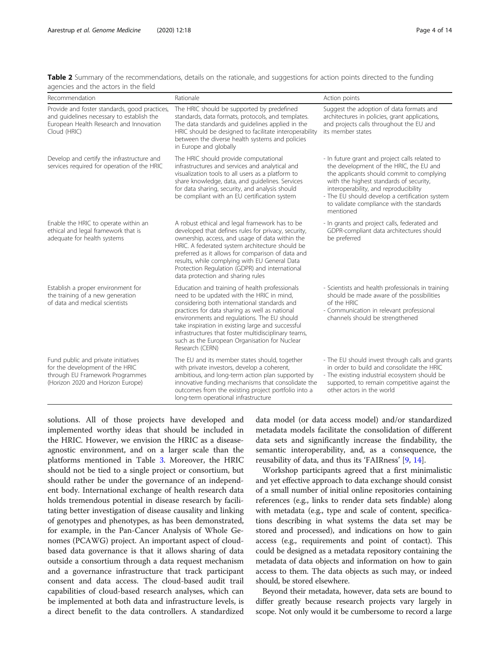<span id="page-3-0"></span>Table 2 Summary of the recommendations, details on the rationale, and suggestions for action points directed to the funding agencies and the actors in the field

| Recommendation                                                                                                                                        | Rationale                                                                                                                                                                                                                                                                                                                                                                                                                     | Action points                                                                                                                                                                                                                                                                                                                          |
|-------------------------------------------------------------------------------------------------------------------------------------------------------|-------------------------------------------------------------------------------------------------------------------------------------------------------------------------------------------------------------------------------------------------------------------------------------------------------------------------------------------------------------------------------------------------------------------------------|----------------------------------------------------------------------------------------------------------------------------------------------------------------------------------------------------------------------------------------------------------------------------------------------------------------------------------------|
| Provide and foster standards, good practices,<br>and quidelines necessary to establish the<br>European Health Research and Innovation<br>Cloud (HRIC) | The HRIC should be supported by predefined<br>standards, data formats, protocols, and templates.<br>The data standards and quidelines applied in the<br>HRIC should be designed to facilitate interoperability<br>between the diverse health systems and policies<br>in Europe and globally                                                                                                                                   | Suggest the adoption of data formats and<br>architectures in policies, grant applications,<br>and projects calls throughout the EU and<br>its member states                                                                                                                                                                            |
| Develop and certify the infrastructure and<br>services required for operation of the HRIC                                                             | The HRIC should provide computational<br>infrastructures and services and analytical and<br>visualization tools to all users as a platform to<br>share knowledge, data, and guidelines. Services<br>for data sharing, security, and analysis should<br>be compliant with an EU certification system                                                                                                                           | - In future grant and project calls related to<br>the development of the HRIC, the EU and<br>the applicants should commit to complying<br>with the highest standards of security,<br>interoperability, and reproducibility<br>- The EU should develop a certification system<br>to validate compliance with the standards<br>mentioned |
| Enable the HRIC to operate within an<br>ethical and legal framework that is<br>adequate for health systems                                            | A robust ethical and legal framework has to be<br>developed that defines rules for privacy, security,<br>ownership, access, and usage of data within the<br>HRIC. A federated system architecture should be<br>preferred as it allows for comparison of data and<br>results, while complying with EU General Data<br>Protection Regulation (GDPR) and international<br>data protection and sharing rules                      | - In grants and project calls, federated and<br>GDPR-compliant data architectures should<br>be preferred                                                                                                                                                                                                                               |
| Establish a proper environment for<br>the training of a new generation<br>of data and medical scientists                                              | Education and training of health professionals<br>need to be updated with the HRIC in mind,<br>considering both international standards and<br>practices for data sharing as well as national<br>environments and regulations. The EU should<br>take inspiration in existing large and successful<br>infrastructures that foster multidisciplinary teams,<br>such as the European Organisation for Nuclear<br>Research (CERN) | - Scientists and health professionals in training<br>should be made aware of the possibilities<br>of the HRIC<br>- Communication in relevant professional<br>channels should be strengthened                                                                                                                                           |
| Fund public and private initiatives<br>for the development of the HRIC<br>through EU Framework Programmes<br>(Horizon 2020 and Horizon Europe)        | The EU and its member states should, together<br>with private investors, develop a coherent,<br>ambitious, and long-term action plan supported by<br>innovative funding mechanisms that consolidate the<br>outcomes from the existing project portfolio into a<br>long-term operational infrastructure                                                                                                                        | - The EU should invest through calls and grants<br>in order to build and consolidate the HRIC<br>- The existing industrial ecosystem should be<br>supported, to remain competitive against the<br>other actors in the world                                                                                                            |

solutions. All of those projects have developed and implemented worthy ideas that should be included in the HRIC. However, we envision the HRIC as a diseaseagnostic environment, and on a larger scale than the platforms mentioned in Table [3](#page-4-0). Moreover, the HRIC should not be tied to a single project or consortium, but should rather be under the governance of an independent body. International exchange of health research data holds tremendous potential in disease research by facilitating better investigation of disease causality and linking of genotypes and phenotypes, as has been demonstrated, for example, in the Pan-Cancer Analysis of Whole Genomes (PCAWG) project. An important aspect of cloudbased data governance is that it allows sharing of data outside a consortium through a data request mechanism and a governance infrastructure that track participant consent and data access. The cloud-based audit trail capabilities of cloud-based research analyses, which can be implemented at both data and infrastructure levels, is a direct benefit to the data controllers. A standardized

data model (or data access model) and/or standardized metadata models facilitate the consolidation of different data sets and significantly increase the findability, the semantic interoperability, and, as a consequence, the reusability of data, and thus its 'FAIRness' [\[9](#page-12-0), [14](#page-12-0)].

Workshop participants agreed that a first minimalistic and yet effective approach to data exchange should consist of a small number of initial online repositories containing references (e.g., links to render data sets findable) along with metadata (e.g., type and scale of content, specifications describing in what systems the data set may be stored and processed), and indications on how to gain access (e.g., requirements and point of contact). This could be designed as a metadata repository containing the metadata of data objects and information on how to gain access to them. The data objects as such may, or indeed should, be stored elsewhere.

Beyond their metadata, however, data sets are bound to differ greatly because research projects vary largely in scope. Not only would it be cumbersome to record a large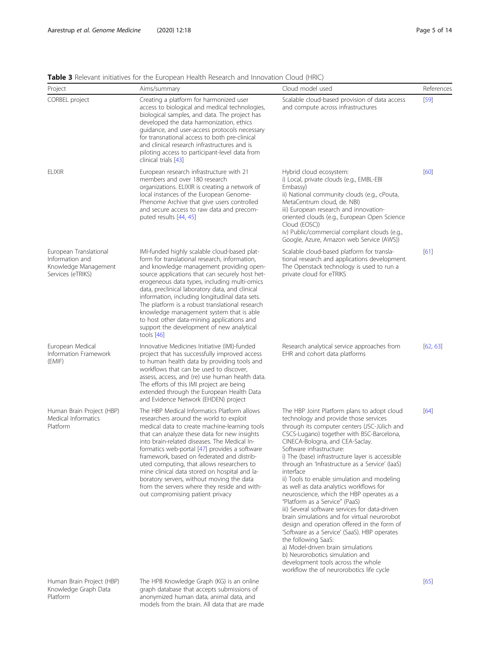| Project                                                                                | Aims/summary                                                                                                                                                                                                                                                                                                                                                                                                                                                                                                                                                           | Cloud model used                                                                                                                                                                                                                                                                                                                                                                                                                                                                                                                                                                                                                                                                                                                                                                                                                                                                                                                | References |
|----------------------------------------------------------------------------------------|------------------------------------------------------------------------------------------------------------------------------------------------------------------------------------------------------------------------------------------------------------------------------------------------------------------------------------------------------------------------------------------------------------------------------------------------------------------------------------------------------------------------------------------------------------------------|---------------------------------------------------------------------------------------------------------------------------------------------------------------------------------------------------------------------------------------------------------------------------------------------------------------------------------------------------------------------------------------------------------------------------------------------------------------------------------------------------------------------------------------------------------------------------------------------------------------------------------------------------------------------------------------------------------------------------------------------------------------------------------------------------------------------------------------------------------------------------------------------------------------------------------|------------|
| CORBEL project                                                                         | Creating a platform for harmonized user<br>access to biological and medical technologies,<br>biological samples, and data. The project has<br>developed the data harmonization, ethics<br>guidance, and user-access protocols necessary<br>for transnational access to both pre-clinical<br>and clinical research infrastructures and is<br>piloting access to participant-level data from<br>clinical trials [43]                                                                                                                                                     | Scalable cloud-based provision of data access<br>and compute across infrastructures                                                                                                                                                                                                                                                                                                                                                                                                                                                                                                                                                                                                                                                                                                                                                                                                                                             | $[59]$     |
| ELIXIR                                                                                 | European research infrastructure with 21<br>members and over 180 research<br>organizations. ELIXIR is creating a network of<br>local instances of the European Genome-<br>Phenome Archive that give users controlled<br>and secure access to raw data and precom-<br>puted results [44, 45]                                                                                                                                                                                                                                                                            | Hybrid cloud ecosystem:<br>i) Local, private clouds (e.g., EMBL-EBI<br>Embassy)<br>ii) National community clouds (e.g., cPouta,<br>MetaCentrum cloud, de. NBI)<br>iii) European research and innovation-<br>oriented clouds (e.g., European Open Science<br>Cloud (EOSC))<br>iv) Public/commercial compliant clouds (e.g.,<br>Google, Azure, Amazon web Service (AWS))                                                                                                                                                                                                                                                                                                                                                                                                                                                                                                                                                          | [60]       |
| European Translational<br>Information and<br>Knowledge Management<br>Services (eTRIKS) | IMI-funded highly scalable cloud-based plat-<br>form for translational research, information,<br>and knowledge management providing open-<br>source applications that can securely host het-<br>erogeneous data types, including multi-omics<br>data, preclinical laboratory data, and clinical<br>information, including longitudinal data sets.<br>The platform is a robust translational research<br>knowledge management system that is able<br>to host other data-mining applications and<br>support the development of new analytical<br>tools [46]              | Scalable cloud-based platform for transla-<br>tional research and applications development.<br>The Openstack technology is used to run a<br>private cloud for eTRIKS                                                                                                                                                                                                                                                                                                                                                                                                                                                                                                                                                                                                                                                                                                                                                            | [61]       |
| European Medical<br>Information Framework<br>(EMIF)                                    | Innovative Medicines Initiative (IMI)-funded<br>project that has successfully improved access<br>to human health data by providing tools and<br>workflows that can be used to discover,<br>assess, access, and (re) use human health data.<br>The efforts of this IMI project are being<br>extended through the European Health Data<br>and Evidence Network (EHDEN) project                                                                                                                                                                                           | Research analytical service approaches from<br>EHR and cohort data platforms                                                                                                                                                                                                                                                                                                                                                                                                                                                                                                                                                                                                                                                                                                                                                                                                                                                    | [62, 63]   |
| Human Brain Project (HBP)<br>Medical Informatics<br>Platform                           | The HBP Medical Informatics Platform allows<br>researchers around the world to exploit<br>medical data to create machine-learning tools<br>that can analyze these data for new insights<br>into brain-related diseases. The Medical In-<br>formatics web-portal [47] provides a software<br>framework, based on federated and distrib-<br>uted computing, that allows researchers to<br>mine clinical data stored on hospital and la-<br>boratory servers, without moving the data<br>from the servers where they reside and with-<br>out compromising patient privacy | The HBP Joint Platform plans to adopt cloud<br>technology and provide those services<br>through its computer centers (JSC-Jülich and<br>CSCS-Lugano) together with BSC-Barcelona,<br>CINECA-Bologna, and CEA-Saclay.<br>Software infrastructure:<br>i) The (base) infrastructure layer is accessible<br>through an 'Infrastructure as a Service' (laaS)<br>interface<br>ii) Tools to enable simulation and modeling<br>as well as data analytics workflows for<br>neuroscience, which the HBP operates as a<br>"Platform as a Service" (PaaS)<br>iii) Several software services for data-driven<br>brain simulations and for virtual neurorobot<br>design and operation offered in the form of<br>'Software as a Service' (SaaS). HBP operates<br>the following SaaS:<br>a) Model-driven brain simulations<br>b) Neurorobotics simulation and<br>development tools across the whole<br>workflow the of neurorobotics life cycle | [64]       |
| Human Brain Project (HBP)                                                              | The HPB Knowledge Graph (KG) is an online                                                                                                                                                                                                                                                                                                                                                                                                                                                                                                                              |                                                                                                                                                                                                                                                                                                                                                                                                                                                                                                                                                                                                                                                                                                                                                                                                                                                                                                                                 | [65]       |

## <span id="page-4-0"></span>Table 3 Relevant initiatives for the European Health Research and Innovation Cloud (HRIC)

Knowledge Graph Data Platform

graph database that accepts submissions of anonymized human data, animal data, and models from the brain. All data that are made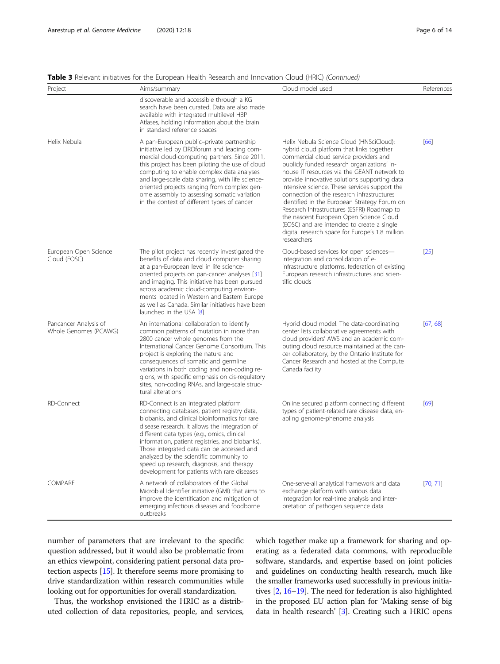Table 3 Relevant initiatives for the European Health Research and Innovation Cloud (HRIC) (Continued)

| Project                                        | Aims/summary                                                                                                                                                                                                                                                                                                                                                                                                                                                                   | Cloud model used                                                                                                                                                                                                                                                                                                                                                                                                                                                                                                                                                                                                                       | References |
|------------------------------------------------|--------------------------------------------------------------------------------------------------------------------------------------------------------------------------------------------------------------------------------------------------------------------------------------------------------------------------------------------------------------------------------------------------------------------------------------------------------------------------------|----------------------------------------------------------------------------------------------------------------------------------------------------------------------------------------------------------------------------------------------------------------------------------------------------------------------------------------------------------------------------------------------------------------------------------------------------------------------------------------------------------------------------------------------------------------------------------------------------------------------------------------|------------|
|                                                | discoverable and accessible through a KG<br>search have been curated. Data are also made<br>available with integrated multilevel HBP<br>Atlases, holding information about the brain<br>in standard reference spaces                                                                                                                                                                                                                                                           |                                                                                                                                                                                                                                                                                                                                                                                                                                                                                                                                                                                                                                        |            |
| Helix Nebula                                   | A pan-European public-private partnership<br>initiative led by EIROforum and leading com-<br>mercial cloud-computing partners. Since 2011,<br>this project has been piloting the use of cloud<br>computing to enable complex data analyses<br>and large-scale data sharing, with life science-<br>oriented projects ranging from complex gen-<br>ome assembly to assessing somatic variation<br>in the context of different types of cancer                                    | Helix Nebula Science Cloud (HNSciCloud):<br>hybrid cloud platform that links together<br>commercial cloud service providers and<br>publicly funded research organizations' in-<br>house IT resources via the GEANT network to<br>provide innovative solutions supporting data<br>intensive science. These services support the<br>connection of the research infrastructures<br>identified in the European Strategy Forum on<br>Research Infrastructures (ESFRI) Roadmap to<br>the nascent European Open Science Cloud<br>(EOSC) and are intended to create a single<br>digital research space for Europe's 1.8 million<br>researchers | [66]       |
| European Open Science<br>Cloud (EOSC)          | The pilot project has recently investigated the<br>benefits of data and cloud computer sharing<br>at a pan-European level in life science-<br>oriented projects on pan-cancer analyses [31]<br>and imaging. This initiative has been pursued<br>across academic cloud-computing environ-<br>ments located in Western and Eastern Europe<br>as well as Canada. Similar initiatives have been<br>launched in the USA [8]                                                         | Cloud-based services for open sciences-<br>integration and consolidation of e-<br>infrastructure platforms, federation of existing<br>European research infrastructures and scien-<br>tific clouds                                                                                                                                                                                                                                                                                                                                                                                                                                     | $[25]$     |
| Pancancer Analysis of<br>Whole Genomes (PCAWG) | An international collaboration to identify<br>common patterns of mutation in more than<br>2800 cancer whole genomes from the<br>International Cancer Genome Consortium. This<br>project is exploring the nature and<br>consequences of somatic and germline<br>variations in both coding and non-coding re-<br>gions, with specific emphasis on cis-regulatory<br>sites, non-coding RNAs, and large-scale struc-<br>tural alterations                                          | Hybrid cloud model. The data-coordinating<br>center lists collaborative agreements with<br>cloud providers' AWS and an academic com-<br>puting cloud resource maintained at the can-<br>cer collaboratory, by the Ontario Institute for<br>Cancer Research and hosted at the Compute<br>Canada facility                                                                                                                                                                                                                                                                                                                                | [67, 68]   |
| <b>RD-Connect</b>                              | RD-Connect is an integrated platform<br>connecting databases, patient registry data,<br>biobanks, and clinical bioinformatics for rare<br>disease research. It allows the integration of<br>different data types (e.g., omics, clinical<br>information, patient registries, and biobanks).<br>Those integrated data can be accessed and<br>analyzed by the scientific community to<br>speed up research, diagnosis, and therapy<br>development for patients with rare diseases | Online secured platform connecting different<br>types of patient-related rare disease data, en-<br>abling genome-phenome analysis                                                                                                                                                                                                                                                                                                                                                                                                                                                                                                      | [69]       |
| COMPARE                                        | A network of collaborators of the Global<br>Microbial Identifier initiative (GMI) that aims to<br>improve the identification and mitigation of<br>emerging infectious diseases and foodborne<br>outbreaks                                                                                                                                                                                                                                                                      | One-serve-all analytical framework and data<br>exchange platform with various data<br>integration for real-time analysis and inter-<br>pretation of pathogen sequence data                                                                                                                                                                                                                                                                                                                                                                                                                                                             | [70, 71]   |

number of parameters that are irrelevant to the specific question addressed, but it would also be problematic from an ethics viewpoint, considering patient personal data protection aspects [[15](#page-12-0)]. It therefore seems more promising to drive standardization within research communities while looking out for opportunities for overall standardization.

Thus, the workshop envisioned the HRIC as a distributed collection of data repositories, people, and services, which together make up a framework for sharing and operating as a federated data commons, with reproducible software, standards, and expertise based on joint policies and guidelines on conducting health research, much like the smaller frameworks used successfully in previous initiatives [\[2](#page-12-0), [16](#page-12-0)–[19\]](#page-12-0). The need for federation is also highlighted in the proposed EU action plan for 'Making sense of big data in health research' [[3](#page-12-0)]. Creating such a HRIC opens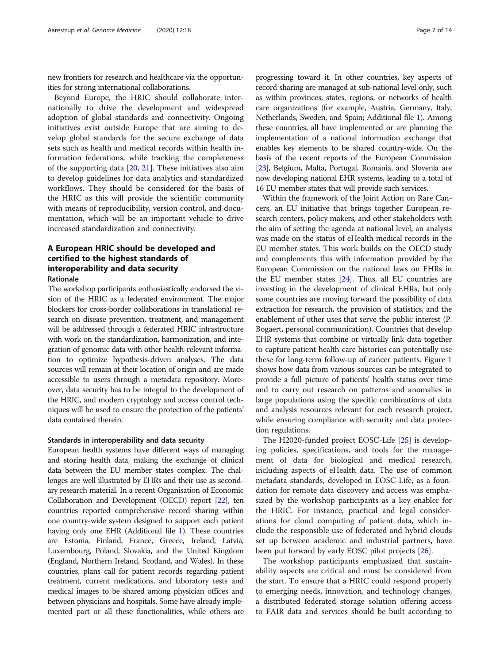new frontiers for research and healthcare via the opportunities for strong international collaborations.

Beyond Europe, the HRIC should collaborate internationally to drive the development and widespread adoption of global standards and connectivity. Ongoing initiatives exist outside Europe that are aiming to develop global standards for the secure exchange of data sets such as health and medical records within health information federations, while tracking the completeness of the supporting data [\[20,](#page-12-0) [21\]](#page-12-0). These initiatives also aim to develop guidelines for data analytics and standardized workflows. They should be considered for the basis of the HRIC as this will provide the scientific community with means of reproducibility, version control, and documentation, which will be an important vehicle to drive increased standardization and connectivity.

## A European HRIC should be developed and certified to the highest standards of interoperability and data security Rationale

The workshop participants enthusiastically endorsed the vision of the HRIC as a federated environment. The major blockers for cross-border collaborations in translational research on disease prevention, treatment, and management will be addressed through a federated HRIC infrastructure with work on the standardization, harmonization, and integration of genomic data with other health-relevant information to optimize hypothesis-driven analyses. The data sources will remain at their location of origin and are made accessible to users through a metadata repository. Moreover, data security has to be integral to the development of the HRIC, and modern cryptology and access control techniques will be used to ensure the protection of the patients' data contained therein.

#### Standards in interoperability and data security

European health systems have different ways of managing and storing health data, making the exchange of clinical data between the EU member states complex. The challenges are well illustrated by EHRs and their use as secondary research material. In a recent Organisation of Economic Collaboration and Development (OECD) report [\[22](#page-12-0)], ten countries reported comprehensive record sharing within one country-wide system designed to support each patient having only one EHR (Additional file [1\)](#page-11-0). These countries are Estonia, Finland, France, Greece, Ireland, Latvia, Luxembourg, Poland, Slovakia, and the United Kingdom (England, Northern Ireland, Scotland, and Wales). In these countries, plans call for patient records regarding patient treatment, current medications, and laboratory tests and medical images to be shared among physician offices and between physicians and hospitals. Some have already implemented part or all these functionalities, while others are

progressing toward it. In other countries, key aspects of record sharing are managed at sub-national level only, such as within provinces, states, regions, or networks of health care organizations (for example, Austria, Germany, Italy, Netherlands, Sweden, and Spain; Additional file [1\)](#page-11-0). Among these countries, all have implemented or are planning the implementation of a national information exchange that enables key elements to be shared country-wide. On the basis of the recent reports of the European Commission [[23](#page-12-0)], Belgium, Malta, Portugal, Romania, and Slovenia are now developing national EHR systems, leading to a total of 16 EU member states that will provide such services.

Within the framework of the Joint Action on Rare Cancers, an EU initiative that brings together European research centers, policy makers, and other stakeholders with the aim of setting the agenda at national level, an analysis was made on the status of eHealth medical records in the EU member states. This work builds on the OECD study and complements this with information provided by the European Commission on the national laws on EHRs in the EU member states [\[24\]](#page-12-0). Thus, all EU countries are investing in the development of clinical EHRs, but only some countries are moving forward the possibility of data extraction for research, the provision of statistics, and the enablement of other uses that serve the public interest (P. Bogaert, personal communication). Countries that develop EHR systems that combine or virtually link data together to capture patient health care histories can potentially use these for long-term follow-up of cancer patients. Figure [1](#page-7-0) shows how data from various sources can be integrated to provide a full picture of patients' health status over time and to carry out research on patterns and anomalies in large populations using the specific combinations of data and analysis resources relevant for each research project, while ensuring compliance with security and data protection regulations.

The H2020-funded project EOSC-Life [\[25](#page-12-0)] is developing policies, specifications, and tools for the management of data for biological and medical research, including aspects of eHealth data. The use of common metadata standards, developed in EOSC-Life, as a foundation for remote data discovery and access was emphasized by the workshop participants as a key enabler for the HRIC. For instance, practical and legal considerations for cloud computing of patient data, which include the responsible use of federated and hybrid clouds set up between academic and industrial partners, have been put forward by early EOSC pilot projects [[26\]](#page-12-0).

The workshop participants emphasized that sustainability aspects are critical and must be considered from the start. To ensure that a HRIC could respond properly to emerging needs, innovation, and technology changes, a distributed federated storage solution offering access to FAIR data and services should be built according to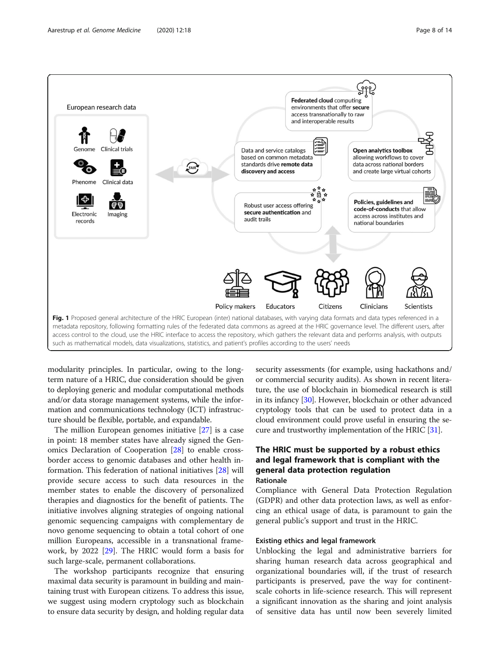<span id="page-7-0"></span>

modularity principles. In particular, owing to the longterm nature of a HRIC, due consideration should be given to deploying generic and modular computational methods and/or data storage management systems, while the information and communications technology (ICT) infrastructure should be flexible, portable, and expandable.

The million European genomes initiative [[27\]](#page-12-0) is a case in point: 18 member states have already signed the Genomics Declaration of Cooperation [\[28](#page-12-0)] to enable crossborder access to genomic databases and other health information. This federation of national initiatives [\[28\]](#page-12-0) will provide secure access to such data resources in the member states to enable the discovery of personalized therapies and diagnostics for the benefit of patients. The initiative involves aligning strategies of ongoing national genomic sequencing campaigns with complementary de novo genome sequencing to obtain a total cohort of one million Europeans, accessible in a transnational framework, by 2022 [[29\]](#page-13-0). The HRIC would form a basis for such large-scale, permanent collaborations.

The workshop participants recognize that ensuring maximal data security is paramount in building and maintaining trust with European citizens. To address this issue, we suggest using modern cryptology such as blockchain to ensure data security by design, and holding regular data

security assessments (for example, using hackathons and/ or commercial security audits). As shown in recent literature, the use of blockchain in biomedical research is still in its infancy [[30](#page-13-0)]. However, blockchain or other advanced cryptology tools that can be used to protect data in a cloud environment could prove useful in ensuring the secure and trustworthy implementation of the HRIC [\[31\]](#page-13-0).

## The HRIC must be supported by a robust ethics and legal framework that is compliant with the general data protection regulation Rationale

Compliance with General Data Protection Regulation (GDPR) and other data protection laws, as well as enforcing an ethical usage of data, is paramount to gain the general public's support and trust in the HRIC.

#### Existing ethics and legal framework

Unblocking the legal and administrative barriers for sharing human research data across geographical and organizational boundaries will, if the trust of research participants is preserved, pave the way for continentscale cohorts in life-science research. This will represent a significant innovation as the sharing and joint analysis of sensitive data has until now been severely limited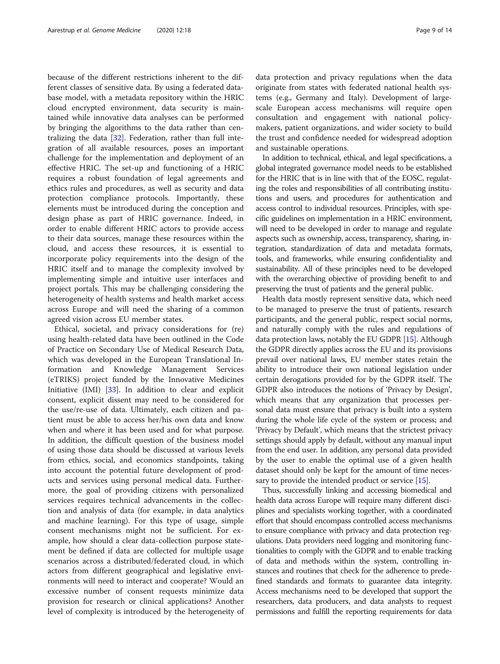because of the different restrictions inherent to the different classes of sensitive data. By using a federated database model, with a metadata repository within the HRIC cloud encrypted environment, data security is maintained while innovative data analyses can be performed by bringing the algorithms to the data rather than centralizing the data [[32\]](#page-13-0). Federation, rather than full integration of all available resources, poses an important challenge for the implementation and deployment of an effective HRIC. The set-up and functioning of a HRIC requires a robust foundation of legal agreements and ethics rules and procedures, as well as security and data protection compliance protocols. Importantly, these elements must be introduced during the conception and design phase as part of HRIC governance. Indeed, in order to enable different HRIC actors to provide access to their data sources, manage these resources within the cloud, and access these resources, it is essential to incorporate policy requirements into the design of the HRIC itself and to manage the complexity involved by implementing simple and intuitive user interfaces and project portals. This may be challenging considering the heterogeneity of health systems and health market access across Europe and will need the sharing of a common agreed vision across EU member states.

Ethical, societal, and privacy considerations for (re) using health-related data have been outlined in the Code of Practice on Secondary Use of Medical Research Data, which was developed in the European Translational Information and Knowledge Management Services (eTRIKS) project funded by the Innovative Medicines Initiative (IMI) [[33](#page-13-0)]. In addition to clear and explicit consent, explicit dissent may need to be considered for the use/re-use of data. Ultimately, each citizen and patient must be able to access her/his own data and know when and where it has been used and for what purpose. In addition, the difficult question of the business model of using those data should be discussed at various levels from ethics, social, and economics standpoints, taking into account the potential future development of products and services using personal medical data. Furthermore, the goal of providing citizens with personalized services requires technical advancements in the collection and analysis of data (for example, in data analytics and machine learning). For this type of usage, simple consent mechanisms might not be sufficient. For example, how should a clear data-collection purpose statement be defined if data are collected for multiple usage scenarios across a distributed/federated cloud, in which actors from different geographical and legislative environments will need to interact and cooperate? Would an excessive number of consent requests minimize data provision for research or clinical applications? Another level of complexity is introduced by the heterogeneity of data protection and privacy regulations when the data originate from states with federated national health systems (e.g., Germany and Italy). Development of largescale European access mechanisms will require open consultation and engagement with national policymakers, patient organizations, and wider society to build the trust and confidence needed for widespread adoption and sustainable operations.

In addition to technical, ethical, and legal specifications, a global integrated governance model needs to be established for the HRIC that is in line with that of the EOSC, regulating the roles and responsibilities of all contributing institutions and users, and procedures for authentication and access control to individual resources. Principles, with specific guidelines on implementation in a HRIC environment, will need to be developed in order to manage and regulate aspects such as ownership, access, transparency, sharing, integration, standardization of data and metadata formats, tools, and frameworks, while ensuring confidentiality and sustainability. All of these principles need to be developed with the overarching objective of providing benefit to and preserving the trust of patients and the general public.

Health data mostly represent sensitive data, which need to be managed to preserve the trust of patients, research participants, and the general public, respect social norms, and naturally comply with the rules and regulations of data protection laws, notably the EU GDPR [\[15](#page-12-0)]. Although the GDPR directly applies across the EU and its provisions prevail over national laws, EU member states retain the ability to introduce their own national legislation under certain derogations provided for by the GDPR itself. The GDPR also introduces the notions of 'Privacy by Design', which means that any organization that processes personal data must ensure that privacy is built into a system during the whole life cycle of the system or process; and 'Privacy by Default', which means that the strictest privacy settings should apply by default, without any manual input from the end user. In addition, any personal data provided by the user to enable the optimal use of a given health dataset should only be kept for the amount of time neces-sary to provide the intended product or service [[15\]](#page-12-0).

Thus, successfully linking and accessing biomedical and health data across Europe will require many different disciplines and specialists working together, with a coordinated effort that should encompass controlled access mechanisms to ensure compliance with privacy and data protection regulations. Data providers need logging and monitoring functionalities to comply with the GDPR and to enable tracking of data and methods within the system, controlling instances and routines that check for the adherence to predefined standards and formats to guarantee data integrity. Access mechanisms need to be developed that support the researchers, data producers, and data analysts to request permissions and fulfill the reporting requirements for data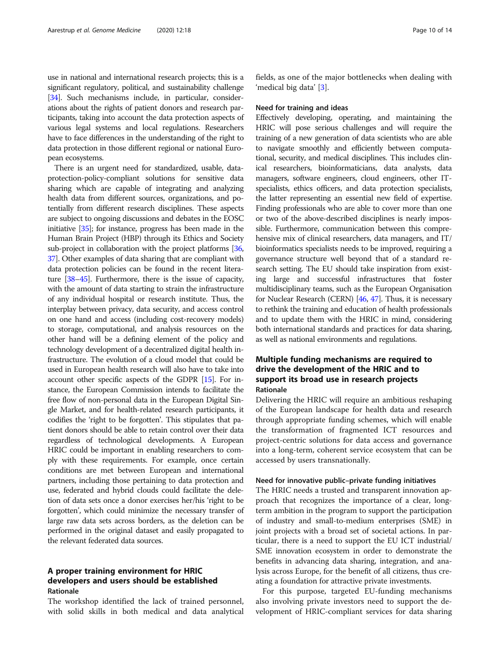use in national and international research projects; this is a significant regulatory, political, and sustainability challenge [[34](#page-13-0)]. Such mechanisms include, in particular, considerations about the rights of patient donors and research participants, taking into account the data protection aspects of various legal systems and local regulations. Researchers have to face differences in the understanding of the right to data protection in those different regional or national European ecosystems.

There is an urgent need for standardized, usable, dataprotection-policy-compliant solutions for sensitive data sharing which are capable of integrating and analyzing health data from different sources, organizations, and potentially from different research disciplines. These aspects are subject to ongoing discussions and debates in the EOSC initiative [[35](#page-13-0)]; for instance, progress has been made in the Human Brain Project (HBP) through its Ethics and Society sub-project in collaboration with the project platforms [\[36](#page-13-0), [37](#page-13-0)]. Other examples of data sharing that are compliant with data protection policies can be found in the recent literature [\[38](#page-13-0)–[45](#page-13-0)]. Furthermore, there is the issue of capacity, with the amount of data starting to strain the infrastructure of any individual hospital or research institute. Thus, the interplay between privacy, data security, and access control on one hand and access (including cost-recovery models) to storage, computational, and analysis resources on the other hand will be a defining element of the policy and technology development of a decentralized digital health infrastructure. The evolution of a cloud model that could be used in European health research will also have to take into account other specific aspects of the GDPR [\[15](#page-12-0)]. For instance, the European Commission intends to facilitate the free flow of non-personal data in the European Digital Single Market, and for health-related research participants, it codifies the 'right to be forgotten'. This stipulates that patient donors should be able to retain control over their data regardless of technological developments. A European HRIC could be important in enabling researchers to comply with these requirements. For example, once certain conditions are met between European and international partners, including those pertaining to data protection and use, federated and hybrid clouds could facilitate the deletion of data sets once a donor exercises her/his 'right to be forgotten', which could minimize the necessary transfer of large raw data sets across borders, as the deletion can be performed in the original dataset and easily propagated to the relevant federated data sources.

## A proper training environment for HRIC developers and users should be established Rationale

The workshop identified the lack of trained personnel, with solid skills in both medical and data analytical fields, as one of the major bottlenecks when dealing with 'medical big data' [[3\]](#page-12-0).

#### Need for training and ideas

Effectively developing, operating, and maintaining the HRIC will pose serious challenges and will require the training of a new generation of data scientists who are able to navigate smoothly and efficiently between computational, security, and medical disciplines. This includes clinical researchers, bioinformaticians, data analysts, data managers, software engineers, cloud engineers, other ITspecialists, ethics officers, and data protection specialists, the latter representing an essential new field of expertise. Finding professionals who are able to cover more than one or two of the above-described disciplines is nearly impossible. Furthermore, communication between this comprehensive mix of clinical researchers, data managers, and IT/ bioinformatics specialists needs to be improved, requiring a governance structure well beyond that of a standard research setting. The EU should take inspiration from existing large and successful infrastructures that foster multidisciplinary teams, such as the European Organisation for Nuclear Research (CERN) [\[46,](#page-13-0) [47](#page-13-0)]. Thus, it is necessary to rethink the training and education of health professionals and to update them with the HRIC in mind, considering both international standards and practices for data sharing, as well as national environments and regulations.

## Multiple funding mechanisms are required to drive the development of the HRIC and to support its broad use in research projects Rationale

Delivering the HRIC will require an ambitious reshaping of the European landscape for health data and research through appropriate funding schemes, which will enable the transformation of fragmented ICT resources and project-centric solutions for data access and governance into a long-term, coherent service ecosystem that can be accessed by users transnationally.

#### Need for innovative public–private funding initiatives

The HRIC needs a trusted and transparent innovation approach that recognizes the importance of a clear, longterm ambition in the program to support the participation of industry and small-to-medium enterprises (SME) in joint projects with a broad set of societal actions. In particular, there is a need to support the EU ICT industrial/ SME innovation ecosystem in order to demonstrate the benefits in advancing data sharing, integration, and analysis across Europe, for the benefit of all citizens, thus creating a foundation for attractive private investments.

For this purpose, targeted EU-funding mechanisms also involving private investors need to support the development of HRIC-compliant services for data sharing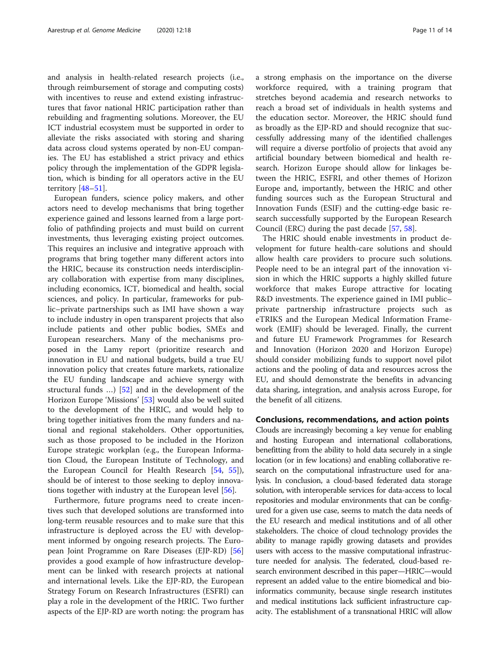and analysis in health-related research projects (i.e., through reimbursement of storage and computing costs) with incentives to reuse and extend existing infrastructures that favor national HRIC participation rather than rebuilding and fragmenting solutions. Moreover, the EU ICT industrial ecosystem must be supported in order to alleviate the risks associated with storing and sharing data across cloud systems operated by non-EU companies. The EU has established a strict privacy and ethics policy through the implementation of the GDPR legislation, which is binding for all operators active in the EU territory  $[48-51]$  $[48-51]$  $[48-51]$  $[48-51]$  $[48-51]$ .

European funders, science policy makers, and other actors need to develop mechanisms that bring together experience gained and lessons learned from a large portfolio of pathfinding projects and must build on current investments, thus leveraging existing project outcomes. This requires an inclusive and integrative approach with programs that bring together many different actors into the HRIC, because its construction needs interdisciplinary collaboration with expertise from many disciplines, including economics, ICT, biomedical and health, social sciences, and policy. In particular, frameworks for public–private partnerships such as IMI have shown a way to include industry in open transparent projects that also include patients and other public bodies, SMEs and European researchers. Many of the mechanisms proposed in the Lamy report (prioritize research and innovation in EU and national budgets, build a true EU innovation policy that creates future markets, rationalize the EU funding landscape and achieve synergy with structural funds …) [\[52\]](#page-13-0) and in the development of the Horizon Europe 'Missions' [[53](#page-13-0)] would also be well suited to the development of the HRIC, and would help to bring together initiatives from the many funders and national and regional stakeholders. Other opportunities, such as those proposed to be included in the Horizon Europe strategic workplan (e.g., the European Information Cloud, the European Institute of Technology, and the European Council for Health Research [\[54](#page-13-0), [55](#page-13-0)]), should be of interest to those seeking to deploy innovations together with industry at the European level [[56\]](#page-13-0).

Furthermore, future programs need to create incentives such that developed solutions are transformed into long-term reusable resources and to make sure that this infrastructure is deployed across the EU with development informed by ongoing research projects. The European Joint Programme on Rare Diseases (EJP-RD) [[56](#page-13-0)] provides a good example of how infrastructure development can be linked with research projects at national and international levels. Like the EJP-RD, the European Strategy Forum on Research Infrastructures (ESFRI) can play a role in the development of the HRIC. Two further aspects of the EJP-RD are worth noting: the program has a strong emphasis on the importance on the diverse workforce required, with a training program that stretches beyond academia and research networks to reach a broad set of individuals in health systems and the education sector. Moreover, the HRIC should fund as broadly as the EJP-RD and should recognize that successfully addressing many of the identified challenges will require a diverse portfolio of projects that avoid any artificial boundary between biomedical and health research. Horizon Europe should allow for linkages between the HRIC, ESFRI, and other themes of Horizon Europe and, importantly, between the HRIC and other funding sources such as the European Structural and Innovation Funds (ESIF) and the cutting-edge basic research successfully supported by the European Research Council (ERC) during the past decade [\[57](#page-13-0), [58](#page-13-0)].

The HRIC should enable investments in product development for future health-care solutions and should allow health care providers to procure such solutions. People need to be an integral part of the innovation vision in which the HRIC supports a highly skilled future workforce that makes Europe attractive for locating R&D investments. The experience gained in IMI public– private partnership infrastructure projects such as eTRIKS and the European Medical Information Framework (EMIF) should be leveraged. Finally, the current and future EU Framework Programmes for Research and Innovation (Horizon 2020 and Horizon Europe) should consider mobilizing funds to support novel pilot actions and the pooling of data and resources across the EU, and should demonstrate the benefits in advancing data sharing, integration, and analysis across Europe, for the benefit of all citizens.

### Conclusions, recommendations, and action points

Clouds are increasingly becoming a key venue for enabling and hosting European and international collaborations, benefitting from the ability to hold data securely in a single location (or in few locations) and enabling collaborative research on the computational infrastructure used for analysis. In conclusion, a cloud-based federated data storage solution, with interoperable services for data-access to local repositories and modular environments that can be configured for a given use case, seems to match the data needs of the EU research and medical institutions and of all other stakeholders. The choice of cloud technology provides the ability to manage rapidly growing datasets and provides users with access to the massive computational infrastructure needed for analysis. The federated, cloud-based research environment described in this paper—HRIC—would represent an added value to the entire biomedical and bioinformatics community, because single research institutes and medical institutions lack sufficient infrastructure capacity. The establishment of a transnational HRIC will allow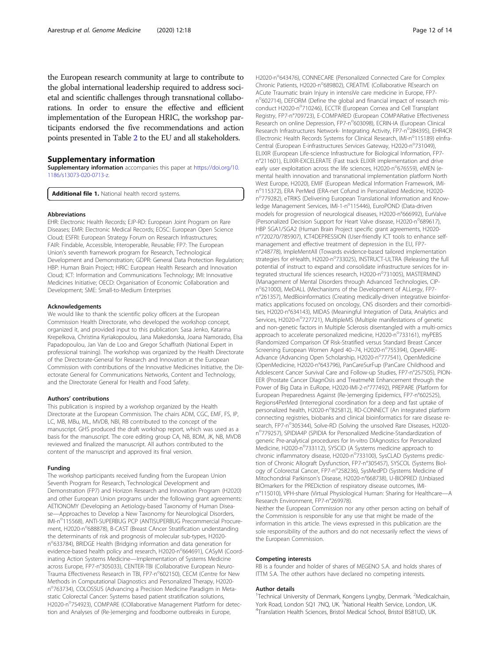<span id="page-11-0"></span>the European research community at large to contribute to the global international leadership required to address societal and scientific challenges through transnational collaborations. In order to ensure the effective and efficient implementation of the European HRIC, the workshop participants endorsed the five recommendations and action points presented in Table [2](#page-3-0) to the EU and all stakeholders.

#### Supplementary information

Supplementary information accompanies this paper at [https://doi.org/10.](https://doi.org/10.1186/s13073-020-0713-z) [1186/s13073-020-0713-z](https://doi.org/10.1186/s13073-020-0713-z).

Additional file 1. National health record systems.

#### Abbreviations

EHR: Electronic Health Records; EJP-RD: European Joint Program on Rare Diseases; EMR: Electronic Medical Records; EOSC: European Open Science Cloud; ESFRI: European Strategy Forum on Research Infrastructures; FAIR: Findable, Accessible, Interoperable, Reusable; FP7: The European Union's seventh framework program for Research, Technological Development and Demonstration; GDPR: General Data Protection Regulation; HBP: Human Brain Project; HRIC: European Health Research and Innovation Cloud; ICT: Information and Communications Technology; IMI: Innovative Medicines Initiative; OECD: Organisation of Economic Collaboration and Development; SME: Small-to-Medium Enterprises

#### Acknowledgements

We would like to thank the scientific policy officers at the European Commission Health Directorate, who developed the workshop concept, organized it, and provided input to this publication: Sasa Jenko, Katarina Krepelkova, Christina Kyriakopoulou, Jana Makedonska, Joana Namorado, Elsa Papadopoulou, Jan Van de Loo and Gregor Schaffrath (National Expert in professional training). The workshop was organized by the Health Directorate of the Directorate-General for Research and Innovation at the European Commission with contributions of the Innovative Medicines Initiative, the Directorate General for Communications Networks, Content and Technology, and the Directorate General for Health and Food Safety.

#### Authors' contributions

This publication is inspired by a workshop organized by the Health Directorate at the European Commission. The chairs ADM, CGC, EMF, FS, IP, LC, MB, MBu, ML, MVDB, NBl, RB contributed to the concept of the manuscript. GHS produced the draft workshop report, which was used as a basis for the manuscript. The core editing group CA, NB, BDM, JK, NB, MVDB reviewed and finalized the manuscript. All authors contributed to the content of the manuscript and approved its final version.

#### Funding

The workshop participants received funding from the European Union Seventh Program for Research, Technological Development and Demonstration (FP7) and Horizon Research and Innovation Program (H2020) and other European Union programs under the following grant agreements: AETIONOMY (Developing an Aetiology-based Taxonomy of Human Disease—Approaches to Develop a New Taxonomy for Neurological Disorders, IMI-nº115568), ANTI-SUPERBUG PCP (ANTISUPERBUG Precommercial Procurement, H2020-n<sup>o</sup>688878), B-CAST (Breast CAncer Stratification understanding the determinants of risk and prognosis of molecular sub-types, H2020 n°633784), BRIDGE Health (Bridging information and data generation for evidence-based health policy and research, H2020-n°664691), CASyM (Coordinating Action Systems Medicine—Implementation of Systems Medicine across Europe, FP7-n°305033), CENTER-TBI (Collaborative European Neuro-Trauma Effectiveness Research in TBI, FP7-n<sup>o</sup>602150), CECM (Centre for New Methods in Computational Diagnostics and Personalized Therapy, H2020 nº763734), COLOSSUS (Advancing a Precision Medicine Paradigm in Metastatic Colorectal Cancer: Systems based patient stratification solutions, H2020-n°754923), COMPARE (COllaborative Management Platform for detection and Analyses of (Re-)emerging and foodborne outbreaks in Europe,

H2020-n°643476), CONNECARE (Personalized Connected Care for Complex Chronic Patients, H2020-n°689802), CREATIVE (Collaborative REsearch on ACute Traumatic brain Injury in intensiVe care medicine in Europe, FP7 n°602714), DEFORM (Define the global and financial impact of research misconduct H2020-n°710246), ECCTR (European Cornea and Cell Transplant Registry, FP7-n°709723), E-COMPARED (European COMPARative Effectiveness Research on online Depression, FP7-n°603098), ECRIN-IA (European Clinical Research Infrastructures Network- Integrating Activity, FP7-n°284395), EHR4CF (Electronic Health Records Systems for Clinical Research, IMI-n°115189) eInfra-Central (European E-infrastructures Services Gateway, H2020-n°731049) ELIXIR (European Life-science Infrastructure for Biological Information, FP7 n°211601), ELIXIR-EXCELERATE (Fast track ELIXIR implementation and drive early user exploitation across the life sciences, H2020-n°676559), eMEN (emental health innovation and transnational implementation platform North West Europe, H2020), EMIF (European Medical Information Framework, IMIn°115372), ERA PerMed (ERA-net Cofund in Personalized Medicine, H2020n°779282), eTRIKS (Delivering European Translational Information and Knowledge Management Services, IMI-1-n°115446), EuroPOND (Data-driven models for progression of neurological diseases, H2020-n°666992), EurValve (Personalized Decision Support for Heart Valve disease, H2020-n°689617), HBP SGA1/SGA2 (Human Brain Project specific grant agreements, H2020 n°720270/785907), ICT4DEPRESSION (User-friendly ICT tools to enhance selfmanagement and effective treatment of depression in the EU, FP7 n°248778), ImpleMentAll (Towards evidence-based tailored implementation strategies for eHealth, H2020-n°733025), INSTRUCT-ULTRA (Releasing the full potential of instruct to expand and consolidate infrastructure services for integrated structural life sciences research, H2020-n°731005), MASTERMIND (Management of Mental Disorders through Advanced Technologies, CIPn°621000), MeDALL (Mechanisms of the Development of ALLergy, FP7n°261357), MedBioinformatics (Creating medically-driven integrative bioinformatics applications focused on oncology, CNS disorders and their comorbidities, H2020-n°634143), MIDAS (Meaningful Integration of Data, Analytics and Services, H2020-n°727721), MultipleMS (Multiple manifestations of genetic and non-genetic factors in Multiple Sclerosis disentangled with a multi-omics approach to accelerate personalized medicine, H2020-n°733161), myPEBS (Randomized Comparison Of Risk-Stratified versus Standard Breast Cancer Screening European Women Aged 40-74, H2020-n°755394), OpenAIRE-Advance (Advancing Open Scholarship, H2020-n°777541), OpenMedicine (OpenMedicine, H2020-n°643796), PanCareSurFup (PanCare Childhood and Adolescent Cancer Survival Care and Follow-up Studies, FP7-n°257505), PION-EER (Prostate Cancer DIagnOsis and TreatmeNt Enhancement through the Power of Big Data in EuRope, H2020-IMI-2-n°777492), PREPARE (Platform for European Preparedness Against (Re-)emerging Epidemics, FP7-n°602525), Regions4PerMed (Interregional coordination for a deep and fast uptake of personalized health, H2020-n°825812), RD-CONNECT (An integrated platform connecting registries, biobanks and clinical bioinformatics for rare disease research, FP7-n°305344), Solve-RD (Solving the unsolved Rare Diseases, H2020n°779257), SPIDIA4P (SPIDIA for Personalized Medicine-Standardization of generic Pre-analytical procedures for In-vitro DIAgnostics for Personalized Medicine, H2020-n°733112), SYSCID (A Systems medicine approach to chronic inflammatory disease, H2020-n°733100), SysCLAD (Systems prediction of Chronic Allograft Dysfunction, FP7-n°305457), SYSCOL (Systems Biology of Colorectal Cancer, FP7-n°258236), SysMedPD (Systems Medicine of Mitochondrial Parkinson's Disease, H2020-n°668738), U-BIOPRED (Unbiased BIOmarkers for the PREDiction of respiratory disease outcomes, IMIn°115010), VPH-share (Virtual Physiological Human: Sharing for Healthcare—A Research Environment, FP7-n°269978).

Neither the European Commission nor any other person acting on behalf of the Commission is responsible for any use that might be made of the information in this article. The views expressed in this publication are the sole responsibility of the authors and do not necessarily reflect the views of the European Commission.

#### Competing interests

RB is a founder and holder of shares of MEGENO S.A. and holds shares of ITTM S.A. The other authors have declared no competing interests.

#### Author details

<sup>1</sup>Technical University of Denmark, Kongens Lyngby, Denmark. <sup>2</sup>Medicalchain, York Road, London SQ1 7NQ, UK. <sup>3</sup>National Health Service, London, UK.<br><sup>4</sup>Translation Hoalth Sciences, Bristal Modical School, Bristal BS91UD, UK. <sup>4</sup>Translation Health Sciences, Bristol Medical School, Bristol BS81UD, UK.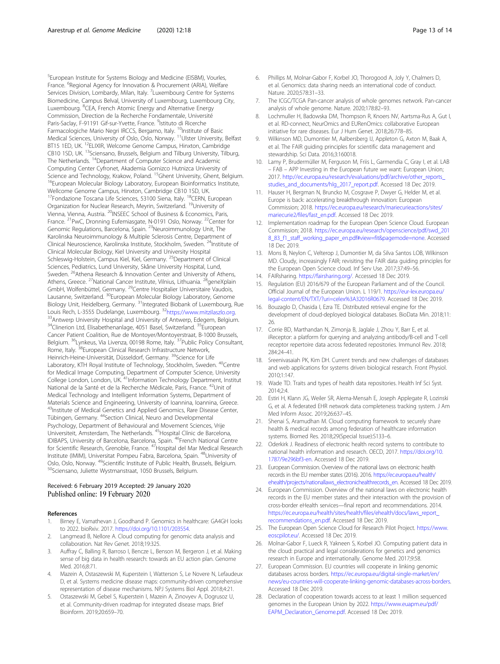<span id="page-12-0"></span>5 European Institute for Systems Biology and Medicine (EISBM), Vourles, France. <sup>6</sup>Regional Agency for Innovation & Procurement (ARIA), Welfare Services Division, Lombardy, Milan, Italy. <sup>7</sup>Luxembourg Centre for Systems Biomedicine, Campus Belval, University of Luxembourg, Luxembourg City, Luxembourg. <sup>8</sup>CEA, French Atomic Energy and Alternative Energy Commission, Direction de la Recherche Fondamentale, Université Paris-Saclay, F-91191 Gif-sur-Yvette, France. <sup>9</sup>Istituto di Ricerche Farmacologiche Mario Negri IRCCS, Bergamo, Italy. <sup>10</sup>Institute of Basic Medical Sciences, University of Oslo, Oslo, Norway. 11Ulster University, Belfast BT15 1ED, UK. 12ELIXIR, Welcome Genome Campus, Hinxton, Cambridge CB10 1SD, UK. 13Sciensano, Brussels, Belgium and Tilburg University, Tilburg, The Netherlands. 14Department of Computer Science and Academic Computing Center Cyfronet, Akademia Gornizco Hutnizca University of<br>Science and Technology, Krakow, Poland. <sup>15</sup>Ghent University, Ghent, Belgium. <sup>16</sup>European Molecular Biology Laboratory, European Bioinformatics Institute, Wellcome Genome Campus, Hinxton, Cambridge CB10 1SD, UK. <sup>17</sup>Fondazione Toscana Life Sciences, 53100 Siena, Italy. <sup>18</sup>CERN, European Organization for Nuclear Research, Meyrin, Switzerland. 19University of Vienna, Vienna, Austria. 20INSEEC School of Business & Economics, Paris, France. <sup>21</sup>PwC, Dronning Eufemiasgate, N-0191 Oslo, Norway. <sup>22</sup>Center for Genomic Regulations, Barcelona, Spain. 23Neuroimmunology Unit, The Karolinska Neuroimmunology & Multiple Sclerosis Centre, Department of Clinical Neuroscience, Karolinska Institute, Stockholm, Sweden. <sup>24</sup>Institute of Clinical Molecular Biology, Kiel University and University Hospital Schleswig-Holstein, Campus Kiel, Kiel, Germany. <sup>25</sup>Department of Clinical Sciences, Pediatrics, Lund University, Skåne University Hospital, Lund, Sweden. <sup>26</sup>Athena Research & Innovation Center and University of Athens, Athens, Greece. <sup>27</sup>National Cancer Institute, Vilnius, Lithuania. <sup>28</sup>geneXplain GmbH, Wolfenbüttel, Germany. 29Centre Hospitalier Universitaire Vaudois, Lausanne, Switzerland. 30European Molecular Biology Laboratory, Genome Biology Unit, Heidelberg, Germany. <sup>31</sup>Integrated Biobank of Luxembourg, Rue<br>Louis Rech, L-3555 Dudelange, Luxembourg. <sup>32</sup>https://www.mitzilaszlo.org. <sup>33</sup>Antwerp University Hospital and University of Antwerp, Edegem, Belgium. <sup>34</sup>Clinerion Ltd, Elisabethenanlage, 4051 Basel, Switzerland. <sup>35</sup>European Cancer Patient Coalition, Rue de Montoyer/Montoyerstraat, B-1000 Brussels, Belgium. <sup>36</sup>Lynkeus, Via Livenza, 00198 Rome, Italy. <sup>37</sup>Public Policy Consultant, Rome, Italy. <sup>38</sup>European Clinical Research Infrastructure Network, Heinrich-Heine-Universität, Düsseldorf, Germany. <sup>39</sup>Science for Life Laboratory, KTH Royal Institute of Technology, Stockholm, Sweden. <sup>40</sup>Centre for Medical Image Computing, Department of Computer Science, University<br>College London, London, UK. <sup>41</sup>Information Technology Department, Institut National de la Santé et de la Recherche Médicale, Paris, France. 42Unit of Medical Technology and Intelligent Information Systems, Department of Materials Science and Engineering, University of Ioannina, Ioannina, Greece. 43Institute of Medical Genetics and Applied Genomics, Rare Disease Center, Tübingen, Germany. 44Section Clinical, Neuro and Developmental Psychology, Department of Behavioural and Movement Sciences, Vrije Universiteit, Amsterdam, The Netherlands. 45Hospital Clínic de Barcelona, IDIBAPS, University of Barcelona, Barcelona, Spain. <sup>46</sup>French National Centre for Scientific Research, Grenoble, France. <sup>47</sup>Hospital del Mar Medical Research Institute (IMIM), Universitat Pompeu Fabra, Barcelona, Spain. 48University of Oslo, Oslo, Norway. <sup>49</sup>Scientific Institute of Public Health, Brussels, Belgium.<br><sup>50</sup>Sciensano, Juliette Wystmanstraat, 1050 Brussels, Belgium.

#### Received: 6 February 2019 Accepted: 29 January 2020 Published online: 19 February 2020

#### References

- Birney E, Vamathevan J, Goodhand P. Genomics in healthcare: GA4GH looks to 2022. bioRxiv. 2017. <https://doi.org/10.1101/203554>.
- Langmead B, Nellore A. Cloud computing for genomic data analysis and collaboration. Nat Rev Genet. 2018;19:325.
- 3. Auffray C, Balling R, Barroso I, Bencze L, Benson M, Bergeron J, et al. Making sense of big data in health research: towards an EU action plan. Genome Med. 2016;8:71.
- 4. Mazein A, Ostaszewski M, Kuperstein I, Watterson S, Le Novere N, Lefaudeux D, et al. Systems medicine disease maps: community-driven comprehensive representation of disease mechanisms. NPJ Systems Biol Appl. 2018;4:21.
- 5. Ostaszewski M, Gebel S, Kuperstein I, Mazein A, Zinovyev A, Dogrusoz U, et al. Community-driven roadmap for integrated disease maps. Brief Bioinform. 2019;20:659–70.
- 6. Phillips M, Molnar-Gabor F, Korbel JO, Thorogood A, Joly Y, Chalmers D, et al. Genomics: data sharing needs an international code of conduct. Nature. 2020;578:31–33.
- 7. The ICGC/TCGA Pan-cancer analysis of whole genomes network. Pan-cancer analysis of whole genome. Nature. 2020;178:82–93.
- 8. Lochmuller H, Badowska DM, Thompson R, Knoers NV, Aartsma-Rus A, Gut I, et al. RD-connect, NeurOmics and EURenOmics: collaborative European initiative for rare diseases. Eur J Hum Genet. 2018;26:778–85.
- 9. Wilkinson MD, Dumontier M, Aalbersberg IJ, Appleton G, Axton M, Baak A, et al. The FAIR guiding principles for scientific data management and stewardship. Sci Data. 2016;3:160018.
- 10. Lamy P, Brudermüller M, Ferguson M, Friis L, Garmendia C, Gray I, et al. LAB – FAB – APP Investing in the European future we want: European Union; 2017. [http://ec.europa.eu/research/evaluations/pdf/archive/other\\_reports\\_](http://ec.europa.eu/research/evaluations/pdf/archive/other_reports_studies_and_documents/hlg_2017_report.pdf) [studies\\_and\\_documents/hlg\\_2017\\_report.pdf](http://ec.europa.eu/research/evaluations/pdf/archive/other_reports_studies_and_documents/hlg_2017_report.pdf). Accessed 18 Dec 2019.
- 11. Hauser H, Bergman N, Bruncko M, Cosgrave P, Dwyer G, Helder M, et al. Europe is back: accelerating breakthrough innovation: European Commission; 2018. [https://ec.europa.eu/research/mariecurieactions/sites/](https://ec.europa.eu/research/mariecurieactions/sites/mariecurie2/files/fast_en.pdf) [mariecurie2/files/fast\\_en.pdf.](https://ec.europa.eu/research/mariecurieactions/sites/mariecurie2/files/fast_en.pdf) Accessed 18 Dec 2019.
- 12. Implementation roadmap for the European Open Science Cloud. European Commission; 2018. [https://ec.europa.eu/research/openscience/pdf/swd\\_201](https://ec.europa.eu/research/openscience/pdf/swd_2018_83_f1_staff_working_paper_en.pdf#view=fit&pagemode=none) [8\\_83\\_f1\\_staff\\_working\\_paper\\_en.pdf#view=fit&pagemode=none.](https://ec.europa.eu/research/openscience/pdf/swd_2018_83_f1_staff_working_paper_en.pdf#view=fit&pagemode=none) Accessed 18 Dec 2019.
- 13. Mons B, Neylon C, Velterop J, Dumontier M, da Silva Santos LOB, Wilkinson MD. Cloudy, increasingly FAIR; revisiting the FAIR data guiding principles for the European Open Science cloud. Inf Serv Use. 2017;37:49–56.
- 14. FAIRsharing. [https://fairsharing.org/.](https://fairsharing.org/) Accessed 18 Dec 2019.
- 15. Regulation (EU) 2016/679 of the European Parliament and of the Council. Official Journal of the European Union. L 119/1. [https://eur-lex.europa.eu/](https://eur-lex.europa.eu/legal-content/EN/TXT/?uri=celex%3A32016R0679) [legal-content/EN/TXT/?uri=celex%3A32016R0679.](https://eur-lex.europa.eu/legal-content/EN/TXT/?uri=celex%3A32016R0679) Accessed 18 Dec 2019.
- 16. Bouzaglo D, Chasida I, Ezra TE. Distributed retrieval engine for the development of cloud-deployed biological databases. BioData Min. 2018;11: 26.
- 17. Corrie BD, Marthandan N, Zimonja B, Jaglale J, Zhou Y, Barr E, et al. iReceptor: a platform for querying and analyzing antibody/B-cell and T-cell receptor repertoire data across federated repositories. Immunol Rev. 2018; 284:24–41.
- 18. Sreenivasaiah PK, Kim DH. Current trends and new challenges of databases and web applications for systems driven biological research. Front Physiol. 2010;1:147.
- 19. Wade TD. Traits and types of health data repositories. Health Inf Sci Syst. 2014;2:4.
- 20. Estiri H, Klann JG, Weiler SR, Alema-Mensah E, Joseph Applegate R, Lozinski G, et al. A federated EHR network data completeness tracking system. J Am Med Inform Assoc. 2019;26:637–45.
- 21. Shenai S, Aramudhan M. Cloud computing framework to securely share health & medical records among federation of healthcare information systems. Biomed Res. 2018;29(Special Issue):S133–6.
- 22. Oderkirk J. Readiness of electronic health record systems to contribute to national health information and research. OECD, 2017. [https://doi.org/10.](https://doi.org/10.1787/9e296bf3-en) [1787/9e296bf3-en](https://doi.org/10.1787/9e296bf3-en). Accessed 18 Dec 2019.
- 23. European Commission. Overview of the national laws on electronic health records in the EU member states (2016). 2016. [https://ec.europa.eu/health/](https://ec.europa.eu/health/ehealth/projects/nationallaws_electronichealthrecords_en) [ehealth/projects/nationallaws\\_electronichealthrecords\\_en.](https://ec.europa.eu/health/ehealth/projects/nationallaws_electronichealthrecords_en) Accessed 18 Dec 2019.
- 24. European Commission. Overview of the national laws on electronic health records in the EU member states and their interaction with the provision of cross-border eHealth services—final report and recommendations. 2014. [https://ec.europa.eu/health/sites/health/files/ehealth/docs/laws\\_report\\_](https://ec.europa.eu/health/sites/health/files/ehealth/docs/laws_report_recommendations_en.pdf) [recommendations\\_en.pdf](https://ec.europa.eu/health/sites/health/files/ehealth/docs/laws_report_recommendations_en.pdf). Accessed 18 Dec 2019.
- 25. The European Open Science Cloud for Research Pilot Project. [https://www.](https://www.eoscpilot.eu/) [eoscpilot.eu/](https://www.eoscpilot.eu/). Accessed 18 Dec 2019.
- 26. Molnar-Gabor F, Lueck R, Yakneen S, Korbel JO. Computing patient data in the cloud: practical and legal considerations for genetics and genomics research in Europe and internationally. Genome Med. 2017;9:58.
- 27. European Commission. EU countries will cooperate in linking genomic databases across borders. [https://ec.europa.eu/digital-single-market/en/](https://ec.europa.eu/digital-single-market/en/news/eu-countries-will-cooperate-linking-genomic-databases-across-borders) [news/eu-countries-will-cooperate-linking-genomic-databases-across-borders](https://ec.europa.eu/digital-single-market/en/news/eu-countries-will-cooperate-linking-genomic-databases-across-borders). Accessed 18 Dec 2019.
- 28. Declaration of cooperation towards access to at least 1 million sequenced genomes in the European Union by 2022. [https://www.euapm.eu/pdf/](https://www.euapm.eu/pdf/EAPM_Declaration_Genome.pdf) [EAPM\\_Declaration\\_Genome.pdf.](https://www.euapm.eu/pdf/EAPM_Declaration_Genome.pdf) Accessed 18 Dec 2019.